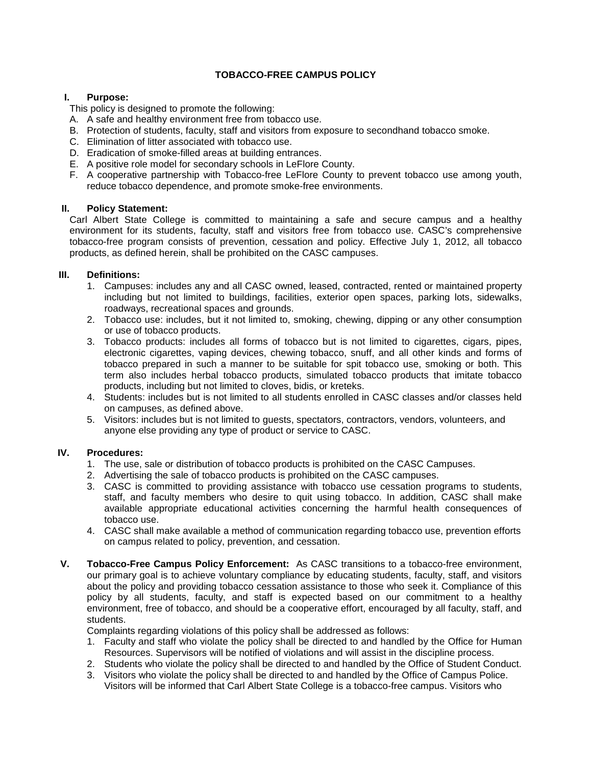# **TOBACCO-FREE CAMPUS POLICY**

## **I. Purpose:**

This policy is designed to promote the following:

- A. A safe and healthy environment free from tobacco use.
- B. Protection of students, faculty, staff and visitors from exposure to secondhand tobacco smoke.
- C. Elimination of litter associated with tobacco use.
- D. Eradication of smoke-filled areas at building entrances.
- E. A positive role model for secondary schools in LeFlore County.
- F. A cooperative partnership with Tobacco-free LeFlore County to prevent tobacco use among youth, reduce tobacco dependence, and promote smoke-free environments.

### **II. Policy Statement:**

Carl Albert State College is committed to maintaining a safe and secure campus and a healthy environment for its students, faculty, staff and visitors free from tobacco use. CASC's comprehensive tobacco-free program consists of prevention, cessation and policy. Effective July 1, 2012, all tobacco products, as defined herein, shall be prohibited on the CASC campuses.

### **III. Definitions:**

- 1. Campuses: includes any and all CASC owned, leased, contracted, rented or maintained property including but not limited to buildings, facilities, exterior open spaces, parking lots, sidewalks, roadways, recreational spaces and grounds.
- 2. Tobacco use: includes, but it not limited to, smoking, chewing, dipping or any other consumption or use of tobacco products.
- 3. Tobacco products: includes all forms of tobacco but is not limited to cigarettes, cigars, pipes, electronic cigarettes, vaping devices, chewing tobacco, snuff, and all other kinds and forms of tobacco prepared in such a manner to be suitable for spit tobacco use, smoking or both. This term also includes herbal tobacco products, simulated tobacco products that imitate tobacco products, including but not limited to cloves, bidis, or kreteks.
- 4. Students: includes but is not limited to all students enrolled in CASC classes and/or classes held on campuses, as defined above.
- 5. Visitors: includes but is not limited to guests, spectators, contractors, vendors, volunteers, and anyone else providing any type of product or service to CASC.

## **IV. Procedures:**

- 1. The use, sale or distribution of tobacco products is prohibited on the CASC Campuses.
- 2. Advertising the sale of tobacco products is prohibited on the CASC campuses.
- 3. CASC is committed to providing assistance with tobacco use cessation programs to students, staff, and faculty members who desire to quit using tobacco. In addition, CASC shall make available appropriate educational activities concerning the harmful health consequences of tobacco use.
- 4. CASC shall make available a method of communication regarding tobacco use, prevention efforts on campus related to policy, prevention, and cessation.
- **V. Tobacco-Free Campus Policy Enforcement:** As CASC transitions to a tobacco-free environment, our primary goal is to achieve voluntary compliance by educating students, faculty, staff, and visitors about the policy and providing tobacco cessation assistance to those who seek it. Compliance of this policy by all students, faculty, and staff is expected based on our commitment to a healthy environment, free of tobacco, and should be a cooperative effort, encouraged by all faculty, staff, and students.

Complaints regarding violations of this policy shall be addressed as follows:

- 1. Faculty and staff who violate the policy shall be directed to and handled by the Office for Human Resources. Supervisors will be notified of violations and will assist in the discipline process.
- 2. Students who violate the policy shall be directed to and handled by the Office of Student Conduct.
- 3. Visitors who violate the policy shall be directed to and handled by the Office of Campus Police. Visitors will be informed that Carl Albert State College is a tobacco-free campus. Visitors who